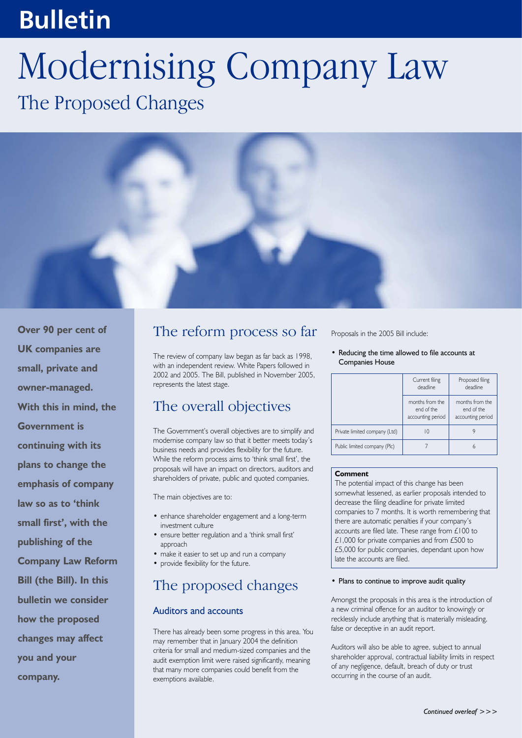## **Bulletin**

# Modernising Company Law The Proposed Changes



**Over 90 per cent of UK companies are small, private and owner-managed. With this in mind, the Government is continuing with its plans to change the emphasis of company law so as to 'think small first', with the publishing of the Company Law Reform Bill (the Bill). In this bulletin we consider how the proposed changes may affect you and your company.**

## The reform process so far

The review of company law began as far back as 1998, with an independent review. White Papers followed in 2002 and 2005. The Bill, published in November 2005, represents the latest stage.

## The overall objectives

The Government's overall objectives are to simplify and modernise company law so that it better meets today's business needs and provides flexibility for the future. While the reform process aims to 'think small first', the proposals will have an impact on directors, auditors and shareholders of private, public and quoted companies.

The main objectives are to:

- enhance shareholder engagement and a long-term investment culture
- ensure better regulation and a 'think small first' approach
- make it easier to set up and run a company
- provide flexibility for the future.

### The proposed changes

#### Auditors and accounts

There has already been some progress in this area. You may remember that in January 2004 the definition criteria for small and medium-sized companies and the audit exemption limit were raised significantly, meaning that many more companies could benefit from the exemptions available.

Proposals in the 2005 Bill include:

• Reducing the time allowed to file accounts at Companies House

|                               | Current filing<br>deadline                         | Proposed filing<br>deadline                        |
|-------------------------------|----------------------------------------------------|----------------------------------------------------|
|                               | months from the<br>end of the<br>accounting period | months from the<br>end of the<br>accounting period |
| Private limited company (Ltd) | 10                                                 |                                                    |
| Public limited company (Plc)  |                                                    | 6                                                  |

#### **Comment**

The potential impact of this change has been somewhat lessened, as earlier proposals intended to decrease the filing deadline for private limited companies to 7 months. It is worth remembering that there are automatic penalties if your company's accounts are filed late. These range from £100 to £1,000 for private companies and from £500 to £5,000 for public companies, dependant upon how late the accounts are filed.

#### • Plans to continue to improve audit quality

Amongst the proposals in this area is the introduction of a new criminal offence for an auditor to knowingly or recklessly include anything that is materially misleading, false or deceptive in an audit report.

Auditors will also be able to agree, subject to annual shareholder approval, contractual liability limits in respect of any negligence, default, breach of duty or trust occurring in the course of an audit.